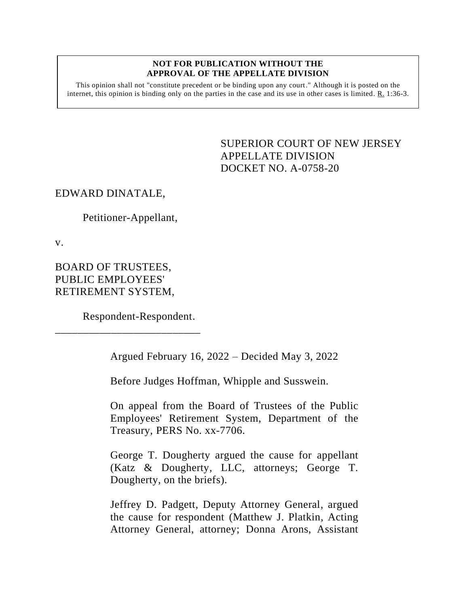#### **NOT FOR PUBLICATION WITHOUT THE APPROVAL OF THE APPELLATE DIVISION**

This opinion shall not "constitute precedent or be binding upon any court." Although it is posted on the internet, this opinion is binding only on the parties in the case and its use in other cases is limited.  $R_1$  1:36-3.

> <span id="page-0-0"></span>SUPERIOR COURT OF NEW JERSEY APPELLATE DIVISION DOCKET NO. A-0758-20

#### EDWARD DINATALE,

Petitioner-Appellant,

v.

BOARD OF TRUSTEES, PUBLIC EMPLOYEES' RETIREMENT SYSTEM,

Respondent-Respondent.

\_\_\_\_\_\_\_\_\_\_\_\_\_\_\_\_\_\_\_\_\_\_\_\_\_\_

Argued February 16, 2022 – Decided May 3, 2022

Before Judges Hoffman, Whipple and Susswein.

On appeal from the Board of Trustees of the Public Employees' Retirement System, Department of the Treasury, PERS No. xx-7706.

George T. Dougherty argued the cause for appellant (Katz & Dougherty, LLC, attorneys; George T. Dougherty, on the briefs).

Jeffrey D. Padgett, Deputy Attorney General, argued the cause for respondent (Matthew J. Platkin, Acting Attorney General, attorney; Donna Arons, Assistant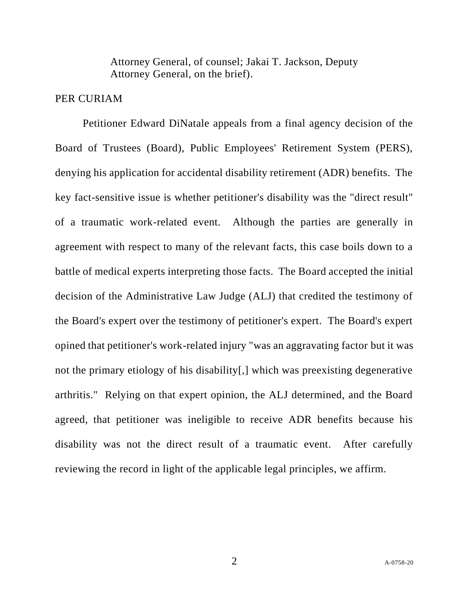Attorney General, of counsel; Jakai T. Jackson, Deputy Attorney General, on the brief).

#### PER CURIAM

Petitioner Edward DiNatale appeals from a final agency decision of the Board of Trustees (Board), Public Employees' Retirement System (PERS), denying his application for accidental disability retirement (ADR) benefits. The key fact-sensitive issue is whether petitioner's disability was the "direct result" of a traumatic work-related event. Although the parties are generally in agreement with respect to many of the relevant facts, this case boils down to a battle of medical experts interpreting those facts. The Board accepted the initial decision of the Administrative Law Judge (ALJ) that credited the testimony of the Board's expert over the testimony of petitioner's expert. The Board's expert opined that petitioner's work-related injury "was an aggravating factor but it was not the primary etiology of his disability[,] which was preexisting degenerative arthritis." Relying on that expert opinion, the ALJ determined, and the Board agreed, that petitioner was ineligible to receive ADR benefits because his disability was not the direct result of a traumatic event. After carefully reviewing the record in light of the applicable legal principles, we affirm.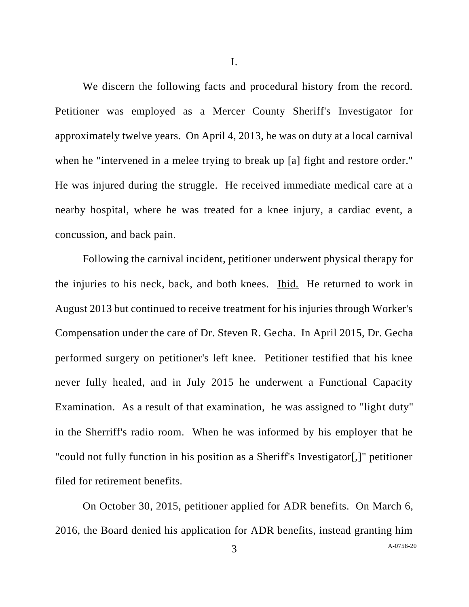I.

We discern the following facts and procedural history from the record. Petitioner was employed as a Mercer County Sheriff's Investigator for approximately twelve years. On April 4, 2013, he was on duty at a local carnival when he "intervened in a melee trying to break up [a] fight and restore order." He was injured during the struggle. He received immediate medical care at a nearby hospital, where he was treated for a knee injury, a cardiac event, a concussion, and back pain.

Following the carnival incident, petitioner underwent physical therapy for the injuries to his neck, back, and both knees. Ibid. He returned to work in August 2013 but continued to receive treatment for his injuries through Worker's Compensation under the care of Dr. Steven R. Gecha. In April 2015, Dr. Gecha performed surgery on petitioner's left knee. Petitioner testified that his knee never fully healed, and in July 2015 he underwent a Functional Capacity Examination. As a result of that examination, he was assigned to "light duty" in the Sherriff's radio room. When he was informed by his employer that he "could not fully function in his position as a Sheriff's Investigator[,]" petitioner filed for retirement benefits.

On October 30, 2015, petitioner applied for ADR benefits. On March 6, 2016, the Board denied his application for ADR benefits, instead granting him

3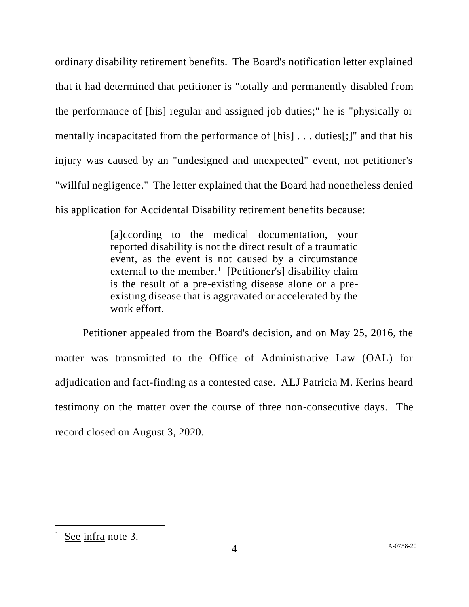ordinary disability retirement benefits. The Board's notification letter explained that it had determined that petitioner is "totally and permanently disabled from the performance of [his] regular and assigned job duties;" he is "physically or mentally incapacitated from the performance of [his] . . . duties[;]" and that his injury was caused by an "undesigned and unexpected" event, not petitioner's "willful negligence." The letter explained that the Board had nonetheless denied his application for Accidental Disability retirement benefits because:

> [a]ccording to the medical documentation, your reported disability is not the direct result of a traumatic event, as the event is not caused by a circumstance external to the member.<sup>1</sup> [Petitioner's] disability claim is the result of a pre-existing disease alone or a preexisting disease that is aggravated or accelerated by the work effort.

Petitioner appealed from the Board's decision, and on May 25, 2016, the matter was transmitted to the Office of Administrative Law (OAL) for adjudication and fact-finding as a contested case. ALJ Patricia M. Kerins heard testimony on the matter over the course of three non-consecutive days. The record closed on August 3, 2020.

 $\frac{1}{1}$  See infra note 3.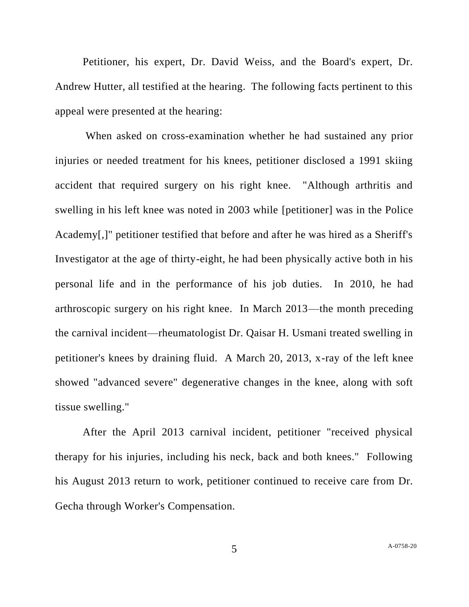Petitioner, his expert, Dr. David Weiss, and the Board's expert, Dr. Andrew Hutter, all testified at the hearing. The following facts pertinent to this appeal were presented at the hearing:

When asked on cross-examination whether he had sustained any prior injuries or needed treatment for his knees, petitioner disclosed a 1991 skiing accident that required surgery on his right knee. "Although arthritis and swelling in his left knee was noted in 2003 while [petitioner] was in the Police Academy[,]" petitioner testified that before and after he was hired as a Sheriff's Investigator at the age of thirty-eight, he had been physically active both in his personal life and in the performance of his job duties. In 2010, he had arthroscopic surgery on his right knee. In March 2013—the month preceding the carnival incident—rheumatologist Dr. Qaisar H. Usmani treated swelling in petitioner's knees by draining fluid. A March 20, 2013, x-ray of the left knee showed "advanced severe" degenerative changes in the knee, along with soft tissue swelling."

After the April 2013 carnival incident, petitioner "received physical therapy for his injuries, including his neck, back and both knees." Following his August 2013 return to work, petitioner continued to receive care from Dr. Gecha through Worker's Compensation.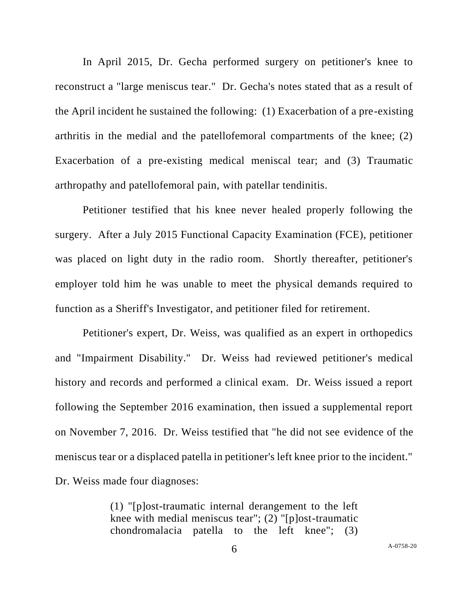In April 2015, Dr. Gecha performed surgery on petitioner's knee to reconstruct a "large meniscus tear." Dr. Gecha's notes stated that as a result of the April incident he sustained the following: (1) Exacerbation of a pre-existing arthritis in the medial and the patellofemoral compartments of the knee; (2) Exacerbation of a pre-existing medical meniscal tear; and (3) Traumatic arthropathy and patellofemoral pain, with patellar tendinitis.

Petitioner testified that his knee never healed properly following the surgery. After a July 2015 Functional Capacity Examination (FCE), petitioner was placed on light duty in the radio room. Shortly thereafter, petitioner's employer told him he was unable to meet the physical demands required to function as a Sheriff's Investigator, and petitioner filed for retirement.

Petitioner's expert, Dr. Weiss, was qualified as an expert in orthopedics and "Impairment Disability." Dr. Weiss had reviewed petitioner's medical history and records and performed a clinical exam. Dr. Weiss issued a report following the September 2016 examination, then issued a supplemental report on November 7, 2016. Dr. Weiss testified that "he did not see evidence of the meniscus tear or a displaced patella in petitioner's left knee prior to the incident." Dr. Weiss made four diagnoses:

> (1) "[p]ost-traumatic internal derangement to the left knee with medial meniscus tear"; (2) "[p]ost-traumatic chondromalacia patella to the left knee"; (3)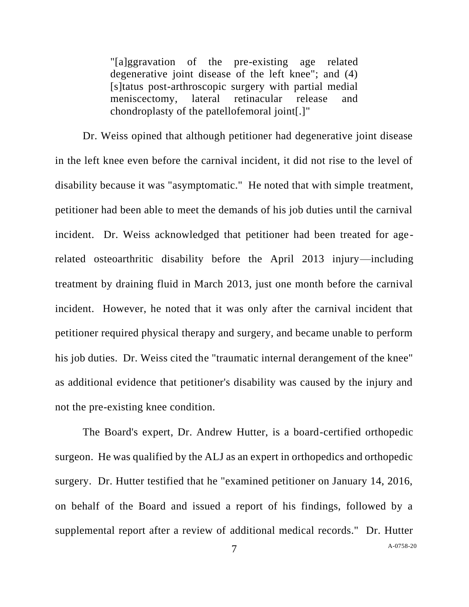"[a]ggravation of the pre-existing age related degenerative joint disease of the left knee"; and (4) [s]tatus post-arthroscopic surgery with partial medial meniscectomy, lateral retinacular release and chondroplasty of the patellofemoral joint[.]"

Dr. Weiss opined that although petitioner had degenerative joint disease in the left knee even before the carnival incident, it did not rise to the level of disability because it was "asymptomatic." He noted that with simple treatment, petitioner had been able to meet the demands of his job duties until the carnival incident. Dr. Weiss acknowledged that petitioner had been treated for agerelated osteoarthritic disability before the April 2013 injury—including treatment by draining fluid in March 2013, just one month before the carnival incident. However, he noted that it was only after the carnival incident that petitioner required physical therapy and surgery, and became unable to perform his job duties. Dr. Weiss cited the "traumatic internal derangement of the knee" as additional evidence that petitioner's disability was caused by the injury and not the pre-existing knee condition.

The Board's expert, Dr. Andrew Hutter, is a board-certified orthopedic surgeon. He was qualified by the ALJ as an expert in orthopedics and orthopedic surgery. Dr. Hutter testified that he "examined petitioner on January 14, 2016, on behalf of the Board and issued a report of his findings, followed by a supplemental report after a review of additional medical records." Dr. Hutter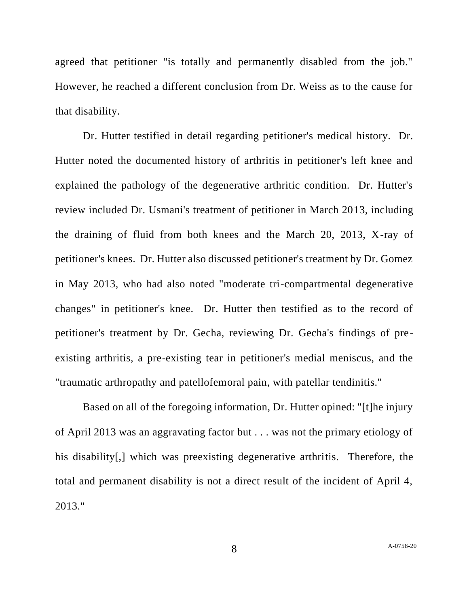agreed that petitioner "is totally and permanently disabled from the job." However, he reached a different conclusion from Dr. Weiss as to the cause for that disability.

Dr. Hutter testified in detail regarding petitioner's medical history. Dr. Hutter noted the documented history of arthritis in petitioner's left knee and explained the pathology of the degenerative arthritic condition. Dr. Hutter's review included Dr. Usmani's treatment of petitioner in March 2013, including the draining of fluid from both knees and the March 20, 2013, X-ray of petitioner's knees. Dr. Hutter also discussed petitioner's treatment by Dr. Gomez in May 2013, who had also noted "moderate tri-compartmental degenerative changes" in petitioner's knee. Dr. Hutter then testified as to the record of petitioner's treatment by Dr. Gecha, reviewing Dr. Gecha's findings of preexisting arthritis, a pre-existing tear in petitioner's medial meniscus, and the "traumatic arthropathy and patellofemoral pain, with patellar tendinitis."

Based on all of the foregoing information, Dr. Hutter opined: "[t]he injury of April 2013 was an aggravating factor but . . . was not the primary etiology of his disability[,] which was preexisting degenerative arthritis. Therefore, the total and permanent disability is not a direct result of the incident of April 4, 2013."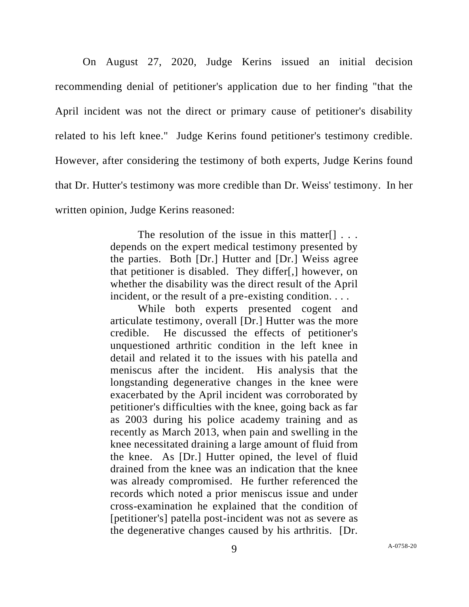On August 27, 2020, Judge Kerins issued an initial decision recommending denial of petitioner's application due to her finding "that the April incident was not the direct or primary cause of petitioner's disability related to his left knee." Judge Kerins found petitioner's testimony credible. However, after considering the testimony of both experts, Judge Kerins found that Dr. Hutter's testimony was more credible than Dr. Weiss' testimony. In her written opinion, Judge Kerins reasoned:

> The resolution of the issue in this matter  $[] \ldots$ depends on the expert medical testimony presented by the parties. Both [Dr.] Hutter and [Dr.] Weiss agree that petitioner is disabled. They differ[,] however, on whether the disability was the direct result of the April incident, or the result of a pre-existing condition. . . .

> While both experts presented cogent and articulate testimony, overall [Dr.] Hutter was the more credible. He discussed the effects of petitioner's unquestioned arthritic condition in the left knee in detail and related it to the issues with his patella and meniscus after the incident. His analysis that the longstanding degenerative changes in the knee were exacerbated by the April incident was corroborated by petitioner's difficulties with the knee, going back as far as 2003 during his police academy training and as recently as March 2013, when pain and swelling in the knee necessitated draining a large amount of fluid from the knee. As [Dr.] Hutter opined, the level of fluid drained from the knee was an indication that the knee was already compromised. He further referenced the records which noted a prior meniscus issue and under cross-examination he explained that the condition of [petitioner's] patella post-incident was not as severe as the degenerative changes caused by his arthritis. [Dr.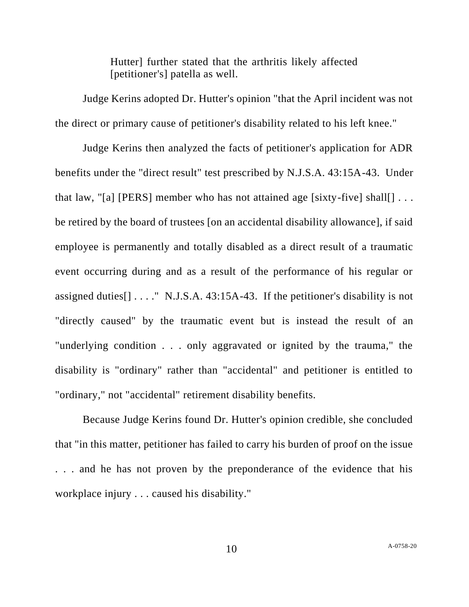Hutter] further stated that the arthritis likely affected [petitioner's] patella as well.

Judge Kerins adopted Dr. Hutter's opinion "that the April incident was not the direct or primary cause of petitioner's disability related to his left knee."

Judge Kerins then analyzed the facts of petitioner's application for ADR benefits under the "direct result" test prescribed by N.J.S.A. 43:15A-43. Under that law, "[a] [PERS] member who has not attained age [sixty-five] shall[]  $\dots$ be retired by the board of trustees [on an accidental disability allowance], if said employee is permanently and totally disabled as a direct result of a traumatic event occurring during and as a result of the performance of his regular or assigned duties  $[1 \ldots$  "N.J.S.A. 43:15A-43. If the petitioner's disability is not "directly caused" by the traumatic event but is instead the result of an "underlying condition . . . only aggravated or ignited by the trauma," the disability is "ordinary" rather than "accidental" and petitioner is entitled to "ordinary," not "accidental" retirement disability benefits.

Because Judge Kerins found Dr. Hutter's opinion credible, she concluded that "in this matter, petitioner has failed to carry his burden of proof on the issue . . . and he has not proven by the preponderance of the evidence that his workplace injury . . . caused his disability."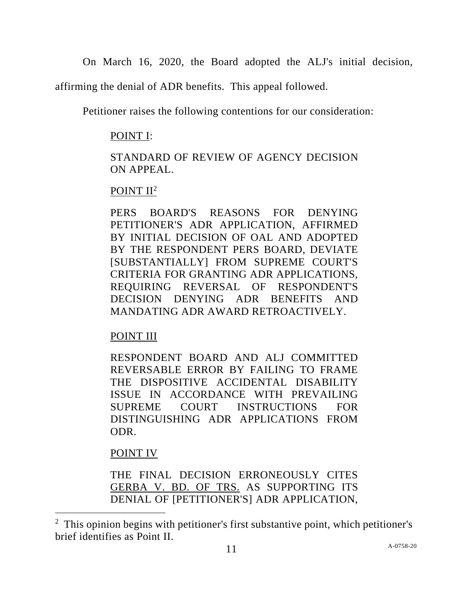On March 16, 2020, the Board adopted the ALJ's initial decision,

affirming the denial of ADR benefits. This appeal followed.

Petitioner raises the following contentions for our consideration:

## POINT I:

## STANDARD OF REVIEW OF AGENCY DECISION ON APPEAL.

## POINT II<sup>2</sup>

PERS BOARD'S REASONS FOR DENYING PETITIONER'S ADR APPLICATION, AFFIRMED BY INITIAL DECISION OF OAL AND ADOPTED BY THE RESPONDENT PERS BOARD, DEVIATE [SUBSTANTIALLY] FROM SUPREME COURT'S CRITERIA FOR GRANTING ADR APPLICATIONS, REQUIRING REVERSAL OF RESPONDENT'S DECISION DENYING ADR BENEFITS AND MANDATING ADR AWARD RETROACTIVELY.

# POINT III

RESPONDENT BOARD AND ALJ COMMITTED REVERSABLE ERROR BY FAILING TO FRAME THE DISPOSITIVE ACCIDENTAL DISABILITY ISSUE IN ACCORDANCE WITH PREVAILING SUPREME COURT INSTRUCTIONS FOR DISTINGUISHING ADR APPLICATIONS FROM ODR.

POINT IV

THE FINAL DECISION ERRONEOUSLY CITES GERBA V. BD. OF TRS. AS SUPPORTING ITS DENIAL OF [PETITIONER'S] ADR APPLICATION,

<sup>&</sup>lt;sup>2</sup> This opinion begins with petitioner's first substantive point, which petitioner's brief identifies as Point II.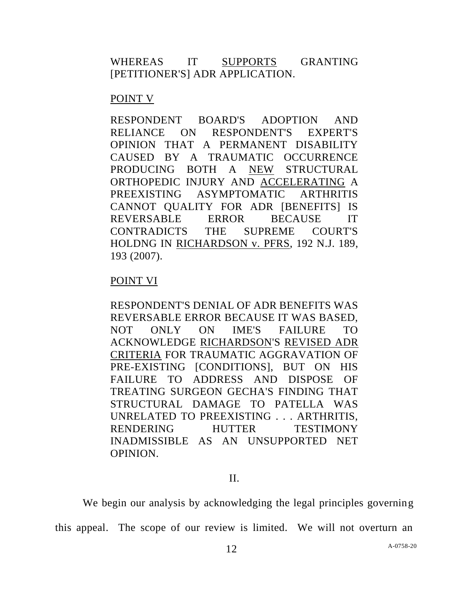### WHEREAS IT SUPPORTS GRANTING [PETITIONER'S] ADR APPLICATION.

### POINT V

RESPONDENT BOARD'S ADOPTION AND RELIANCE ON RESPONDENT'S EXPERT'S OPINION THAT A PERMANENT DISABILITY CAUSED BY A TRAUMATIC OCCURRENCE PRODUCING BOTH A NEW STRUCTURAL ORTHOPEDIC INJURY AND ACCELERATING A PREEXISTING ASYMPTOMATIC ARTHRITIS CANNOT QUALITY FOR ADR [BENEFITS] IS REVERSABLE ERROR BECAUSE IT CONTRADICTS THE SUPREME COURT'S HOLDNG IN RICHARDSON v. PFRS, 192 N.J. 189, 193 (2007).

### POINT VI

RESPONDENT'S DENIAL OF ADR BENEFITS WAS REVERSABLE ERROR BECAUSE IT WAS BASED, NOT ONLY ON IME'S FAILURE TO ACKNOWLEDGE RICHARDSON'S REVISED ADR CRITERIA FOR TRAUMATIC AGGRAVATION OF PRE-EXISTING [CONDITIONS], BUT ON HIS FAILURE TO ADDRESS AND DISPOSE OF TREATING SURGEON GECHA'S FINDING THAT STRUCTURAL DAMAGE TO PATELLA WAS UNRELATED TO PREEXISTING . . . ARTHRITIS, RENDERING HUTTER TESTIMONY INADMISSIBLE AS AN UNSUPPORTED NET OPINION.

### II.

We begin our analysis by acknowledging the legal principles governing

this appeal. The scope of our review is limited. We will not overturn an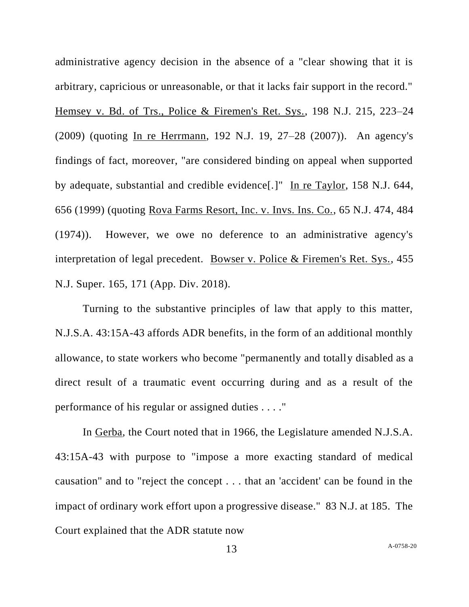administrative agency decision in the absence of a "clear showing that it is arbitrary, capricious or unreasonable, or that it lacks fair support in the record." Hemsey v. Bd. of Trs., Police & Firemen's Ret. Sys., 198 N.J. 215, 223–24 (2009) (quoting In re Herrmann, 192 N.J. 19, 27–28 (2007)). An agency's findings of fact, moreover, "are considered binding on appeal when supported by adequate, substantial and credible evidence[.]" In re Taylor, 158 N.J. 644, 656 (1999) (quoting Rova Farms Resort, Inc. v. Invs. Ins. Co., 65 N.J. 474, 484 (1974)). However, we owe no deference to an administrative agency's interpretation of legal precedent. Bowser v. Police & Firemen's Ret. Sys., 455 N.J. Super. 165, 171 (App. Div. 2018).

Turning to the substantive principles of law that apply to this matter, N.J.S.A. 43:15A-43 affords ADR benefits, in the form of an additional monthly allowance, to state workers who become "permanently and totally disabled as a direct result of a traumatic event occurring during and as a result of the performance of his regular or assigned duties . . . ."

In Gerba, the Court noted that in 1966, the Legislature amended N.J.S.A. 43:15A-43 with purpose to "impose a more exacting standard of medical causation" and to "reject the concept . . . that an 'accident' can be found in the impact of ordinary work effort upon a progressive disease." 83 N.J. at 185. The Court explained that the ADR statute now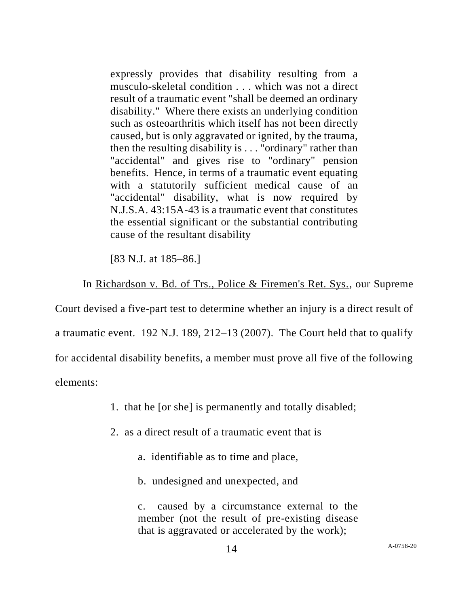expressly provides that disability resulting from a musculo-skeletal condition . . . which was not a direct result of a traumatic event "shall be deemed an ordinary disability." Where there exists an underlying condition such as osteoarthritis which itself has not been directly caused, but is only aggravated or ignited, by the trauma, then the resulting disability is . . . "ordinary" rather than "accidental" and gives rise to "ordinary" pension benefits. Hence, in terms of a traumatic event equating with a statutorily sufficient medical cause of an "accidental" disability, what is now required by N.J.S.A. 43:15A-43 is a traumatic event that constitutes the essential significant or the substantial contributing cause of the resultant disability

[83 N.J. at 185–86.]

In Richardson v. Bd. of Trs., Police & Firemen's Ret. Sys., our Supreme

Court devised a five-part test to determine whether an injury is a direct result of a traumatic event. 192 N.J. 189, 212–13 (2007). The Court held that to qualify for accidental disability benefits, a member must prove all five of the following elements:

1. that he [or she] is permanently and totally disabled;

2. as a direct result of a traumatic event that is

a. identifiable as to time and place,

b. undesigned and unexpected, and

c. caused by a circumstance external to the member (not the result of pre-existing disease that is aggravated or accelerated by the work);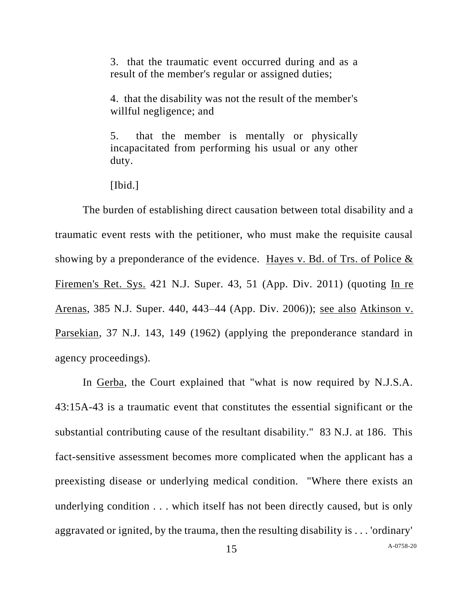3. that the traumatic event occurred during and as a result of the member's regular or assigned duties;

4. that the disability was not the result of the member's willful negligence; and

5. that the member is mentally or physically incapacitated from performing his usual or any other duty.

[Ibid.]

The burden of establishing direct causation between total disability and a traumatic event rests with the petitioner, who must make the requisite causal showing by a preponderance of the evidence. Hayes v. Bd. of Trs. of Police & Firemen's Ret. Sys. 421 N.J. Super. 43, 51 (App. Div. 2011) (quoting In re Arenas, 385 N.J. Super. 440, 443–44 (App. Div. 2006)); see also Atkinson v. Parsekian, 37 N.J. 143, 149 (1962) (applying the preponderance standard in agency proceedings).

In Gerba, the Court explained that "what is now required by N.J.S.A. 43:15A-43 is a traumatic event that constitutes the essential significant or the substantial contributing cause of the resultant disability." 83 N.J. at 186. This fact-sensitive assessment becomes more complicated when the applicant has a preexisting disease or underlying medical condition. "Where there exists an underlying condition . . . which itself has not been directly caused, but is only aggravated or ignited, by the trauma, then the resulting disability is . . . 'ordinary'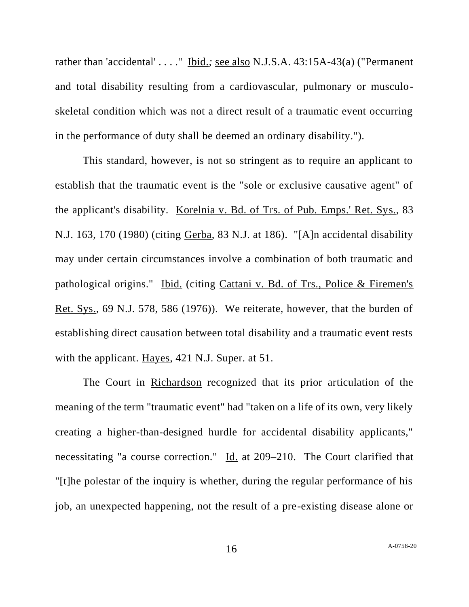rather than 'accidental' . . . ." Ibid.*;* see also N.J.S.A. 43:15A-43(a) ("Permanent and total disability resulting from a cardiovascular, pulmonary or musculoskeletal condition which was not a direct result of a traumatic event occurring in the performance of duty shall be deemed an ordinary disability.").

This standard, however, is not so stringent as to require an applicant to establish that the traumatic event is the "sole or exclusive causative agent" of the applicant's disability. Korelnia v. Bd. of Trs. of Pub. Emps.' Ret. Sys., 83 N.J. 163, 170 (1980) (citing Gerba, 83 N.J. at 186). "[A]n accidental disability may under certain circumstances involve a combination of both traumatic and pathological origins." Ibid. (citing Cattani v. Bd. of Trs., Police & Firemen's Ret. Sys., 69 N.J. 578, 586 (1976)). We reiterate, however, that the burden of establishing direct causation between total disability and a traumatic event rests with the applicant. Hayes, 421 N.J. Super. at 51.

The Court in Richardson recognized that its prior articulation of the meaning of the term "traumatic event" had "taken on a life of its own, very likely creating a higher-than-designed hurdle for accidental disability applicants," necessitating "a course correction." Id. at 209–210. The Court clarified that "[t]he polestar of the inquiry is whether, during the regular performance of his job, an unexpected happening, not the result of a pre-existing disease alone or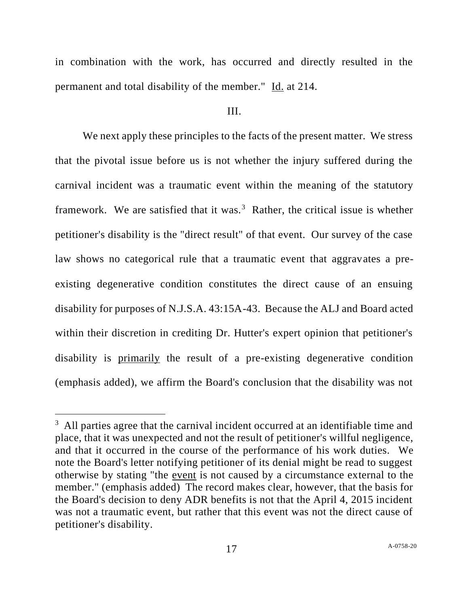in combination with the work, has occurred and directly resulted in the permanent and total disability of the member." Id. at 214.

#### III.

We next apply these principles to the facts of the present matter. We stress that the pivotal issue before us is not whether the injury suffered during the carnival incident was a traumatic event within the meaning of the statutory framework. We are satisfied that it was.<sup>3</sup> Rather, the critical issue is whether petitioner's disability is the "direct result" of that event. Our survey of the case law shows no categorical rule that a traumatic event that aggravates a preexisting degenerative condition constitutes the direct cause of an ensuing disability for purposes of N.J.S.A. 43:15A-43. Because the ALJ and Board acted within their discretion in crediting Dr. Hutter's expert opinion that petitioner's disability is primarily the result of a pre-existing degenerative condition (emphasis added), we affirm the Board's conclusion that the disability was not

<sup>&</sup>lt;sup>3</sup> All parties agree that the carnival incident occurred at an identifiable time and place, that it was unexpected and not the result of petitioner's willful negligence, and that it occurred in the course of the performance of his work duties. We note the Board's letter notifying petitioner of its denial might be read to suggest otherwise by stating "the event is not caused by a circumstance external to the member." (emphasis added) The record makes clear, however, that the basis for the Board's decision to deny ADR benefits is not that the April 4, 2015 incident was not a traumatic event, but rather that this event was not the direct cause of petitioner's disability.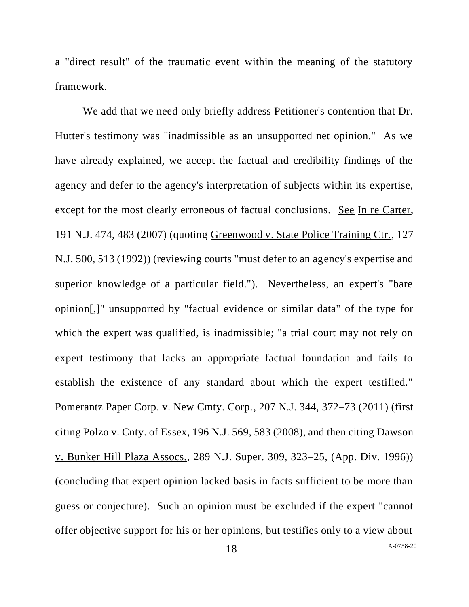a "direct result" of the traumatic event within the meaning of the statutory framework.

We add that we need only briefly address Petitioner's contention that Dr. Hutter's testimony was "inadmissible as an unsupported net opinion." As we have already explained, we accept the factual and credibility findings of the agency and defer to the agency's interpretation of subjects within its expertise, except for the most clearly erroneous of factual conclusions. See In re Carter, 191 N.J. 474, 483 (2007) (quoting Greenwood v. State Police Training Ctr., 127 N.J. 500, 513 (1992)) (reviewing courts "must defer to an agency's expertise and superior knowledge of a particular field."). Nevertheless, an expert's "bare opinion[,]" unsupported by "factual evidence or similar data" of the type for which the expert was qualified, is inadmissible; "a trial court may not rely on expert testimony that lacks an appropriate factual foundation and fails to establish the existence of any standard about which the expert testified." Pomerantz Paper Corp. v. New Cmty. Corp., 207 N.J. 344, 372–73 (2011) (first citing Polzo v. Cnty. of Essex, 196 N.J. 569, 583 (2008), and then citing Dawson v. Bunker Hill Plaza Assocs., 289 N.J. Super. 309, 323–25, (App. Div. 1996)) (concluding that expert opinion lacked basis in facts sufficient to be more than guess or conjecture). Such an opinion must be excluded if the expert "cannot offer objective support for his or her opinions, but testifies only to a view about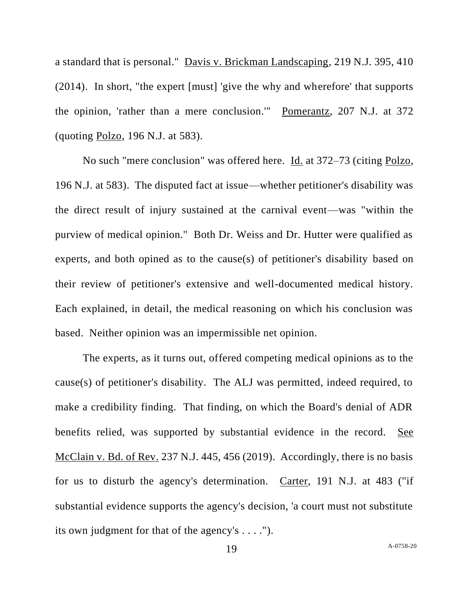a standard that is personal." Davis v. Brickman Landscaping, 219 N.J. 395, 410 (2014). In short, "the expert [must] 'give the why and wherefore' that supports the opinion, 'rather than a mere conclusion.'" Pomerantz, 207 N.J. at 372 (quoting Polzo, 196 N.J. at 583).

No such "mere conclusion" was offered here. Id. at 372–73 (citing Polzo, 196 N.J. at 583). The disputed fact at issue—whether petitioner's disability was the direct result of injury sustained at the carnival event—was "within the purview of medical opinion." Both Dr. Weiss and Dr. Hutter were qualified as experts, and both opined as to the cause(s) of petitioner's disability based on their review of petitioner's extensive and well-documented medical history. Each explained, in detail, the medical reasoning on which his conclusion was based. Neither opinion was an impermissible net opinion.

The experts, as it turns out, offered competing medical opinions as to the cause(s) of petitioner's disability. The ALJ was permitted, indeed required, to make a credibility finding. That finding, on which the Board's denial of ADR benefits relied, was supported by substantial evidence in the record. See McClain v. Bd. of Rev. 237 N.J. 445, 456 (2019). Accordingly, there is no basis for us to disturb the agency's determination. Carter, 191 N.J. at 483 ("if substantial evidence supports the agency's decision, 'a court must not substitute its own judgment for that of the agency's . . . .").